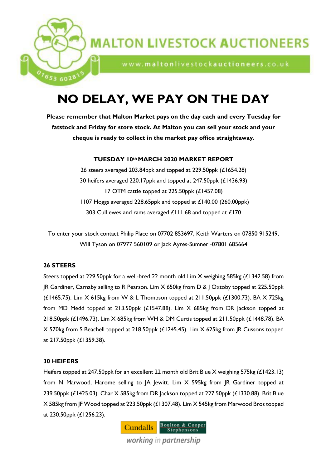

## **MALTON LIVESTOCK AUCTIONEERS**

www.maltonlivestockauctioneers.co.uk

# **NO DELAY, WE PAY ON THE DAY**

**Please remember that Malton Market pays on the day each and every Tuesday for fatstock and Friday for store stock. At Malton you can sell your stock and your cheque is ready to collect in the market pay office straightaway.**

## **TUESDAY 10th MARCH 2020 MARKET REPORT**

26 steers averaged 203.84ppk and topped at 229.50ppk (£1654.28) 30 heifers averaged 220.17ppk and topped at 247.50ppk (£1436.93) 17 OTM cattle topped at 225.50ppk (£1457.08) 1107 Hoggs averaged 228.65ppk and topped at £140.00 (260.00ppk) 303 Cull ewes and rams averaged £111.68 and topped at £170

To enter your stock contact Philip Place on 07702 853697, Keith Warters on 07850 915249, Will Tyson on 07977 560109 or Jack Ayres-Sumner -07801 685664

## **26 STEERS**

Steers topped at 229.50ppk for a well-bred 22 month old Lim X weighing 585kg (£1342.58) from JR Gardiner, Carnaby selling to R Pearson. Lim X 650kg from D & J Oxtoby topped at 225.50ppk ( $£1465.75$ ). Lim  $X$  615kg from W & L Thompson topped at  $211.50$ ppk ( $£1300.73$ ). BA  $X$  725kg from MD Medd topped at 213.50ppk (£1547.88). Lim X 685kg from DR Jackson topped at 218.50ppk (£1496.73). Lim X 685kg from WH & DM Curtis topped at 211.50ppk (£1448.78). BA X 570kg from S Beachell topped at 218.50ppk (£1245.45). Lim X 625kg from JR Cussons topped at 217.50ppk (£1359.38).

## **30 HEIFERS**

Heifers topped at 247.50ppk for an excellent 22 month old Brit Blue X weighing 575kg (£1423.13) from N Marwood, Harome selling to JA Jewitt. Lim X 595kg from JR Gardiner topped at 239.50ppk (£1425.03). Char X 585kg from DR Jackson topped at 227.50ppk (£1330.88). Brit Blue X 585kg from JF Wood topped at 223.50ppk (£1307.48). Lim X 545kg from Marwood Bros topped at 230.50ppk (£1256.23).

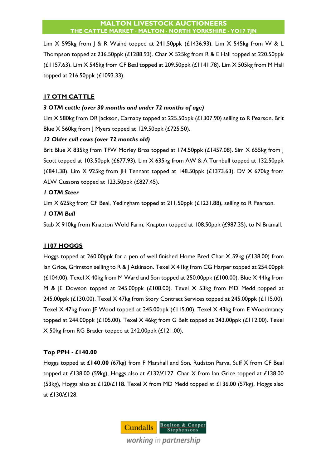Lim X 595kg from J & R Waind topped at 241.50ppk (£1436.93). Lim X 545kg from W & L Thompson topped at 236.50ppk (£1288.93). Char X 525kg from R & E Hall topped at 220.50ppk  $(£1157.63)$ . Lim  $X$  545kg from CF Beal topped at 209.50ppk  $(£1141.78)$ . Lim  $X$  505kg from M Hall topped at 216.50ppk (£1093.33).

## **17 OTM CATTLE**

## *3 OTM cattle (over 30 months and under 72 months of age)*

Lim X 580kg from DR Jackson, Carnaby topped at 225.50ppk (£1307.90) selling to R Pearson. Brit Blue X 560kg from | Myers topped at 129.50ppk (£725.50).

## *12 Older cull cows (over 72 months old)*

Brit Blue X 835kg from TFW Morley Bros topped at 174.50ppk (£1457.08). Sim X 655kg from | Scott topped at 103.50ppk (£677.93). Lim X 635kg from AW & A Turnbull topped at 132.50ppk ( $£841.38$ ). Lim  $X$  925kg from  $\vert$ H Tennant topped at 148.50ppk ( $£1373.63$ ). DV  $X$  670kg from ALW Cussons topped at 123.50ppk (£827.45).

## *1 OTM Steer*

Lim X 625kg from CF Beal, Yedingham topped at 211.50ppk (£1231.88), selling to R Pearson.

## *1 OTM Bull*

Stab X 910kg from Knapton Wold Farm, Knapton topped at 108.50ppk (£987.35), to N Bramall.

## **1107 HOGGS**

Hoggs topped at 260.00ppk for a pen of well finished Home Bred Char X 59kg (£138.00) from lan Grice, Grimston selling to R & J Atkinson. Texel X 41kg from CG Harper topped at 254.00ppk  $(E104.00)$ . Texel X 40kg from M Ward and Son topped at 250.00ppk  $(E100.00)$ . Blue X 44kg from M & JE Dowson topped at 245.00ppk (£108.00). Texel X 53kg from MD Medd topped at 245.00ppk (£130.00). Texel X 47kg from Story Contract Services topped at 245.00ppk (£115.00). Texel X 47kg from JF Wood topped at 245.00ppk (£115.00). Texel X 43kg from E Woodmancy topped at 244.00ppk (£105.00). Texel X 46kg from G Belt topped at 243.00ppk (£112.00). Texel X 50kg from RG Brader topped at 242.00ppk (£121.00).

## **Top PPH - £140.00**

Hoggs topped at **£140.00** (67kg) from F Marshall and Son, Rudston Parva. Suff X from CF Beal topped at £138.00 (59kg), Hoggs also at £132/£127. Char X from lan Grice topped at £138.00 (53kg), Hoggs also at £120/£118. Texel X from MD Medd topped at £136.00 (57kg), Hoggs also at £130/£128.

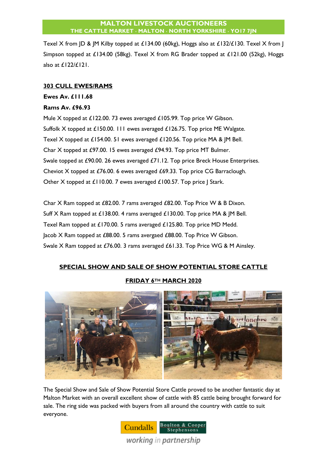Texel X from JD & JM Kilby topped at £134.00 (60kg), Hoggs also at £132/£130. Texel X from J Simpson topped at £134.00 (58kg). Texel X from RG Brader topped at £121.00 (52kg), Hoggs also at £122/£121.

#### **303 CULL EWES/RAMS**

### **Ewes Av. £111.68**

### **Rams Av. £96.93**

Mule X topped at £122.00. 73 ewes averaged £105.99. Top price W Gibson. Suffolk X topped at £150.00. 111 ewes averaged £126.75. Top price ME Walgate. Texel X topped at £154.00. 51 ewes averaged £120.56. Top price MA & JM Bell. Char X topped at £97.00. 15 ewes averaged £94.93. Top price MT Bulmer. Swale topped at £90.00. 26 ewes averaged £71.12. Top price Breck House Enterprises. Cheviot X topped at £76.00. 6 ewes averaged £69.33. Top price CG Barraclough. Other X topped at £110.00. 7 ewes averaged £100.57. Top price J Stark.

Char X Ram topped at £82.00. 7 rams averaged £82.00. Top Price W & B Dixon. Suff X Ram topped at £138.00. 4 rams averaged £130.00. Top price MA & JM Bell. Texel Ram topped at £170.00. 5 rams averaged £125.80. Top price MD Medd. Jacob X Ram topped at £88.00. 5 rams avergaed £88.00. Top Price W Gibson. Swale X Ram topped at £76.00. 3 rams averaged £61.33. Top Price WG & M Ainsley.

## **SPECIAL SHOW AND SALE OF SHOW POTENTIAL STORE CATTLE**

## **FRIDAY 6TH MARCH 2020**



The Special Show and Sale of Show Potential Store Cattle proved to be another fantastic day at Malton Market with an overall excellent show of cattle with 85 cattle being brought forward for sale. The ring side was packed with buyers from all around the country with cattle to suit everyone.

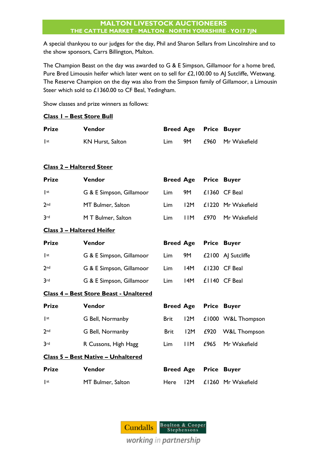A special thankyou to our judges for the day, Phil and Sharon Sellars from Lincolnshire and to the show sponsors, Carrs Billington, Malton.

The Champion Beast on the day was awarded to G & E Simpson, Gillamoor for a home bred, Pure Bred Limousin heifer which later went on to sell for £2,100.00 to AJ Sutcliffe, Wetwang. The Reserve Champion on the day was also from the Simpson family of Gillamoor, a Limousin Steer which sold to £1360.00 to CF Beal, Yedingham.

Show classes and prize winners as follows:

|                 | Class I - Best Store Bull              |                  |                  |              |                         |
|-----------------|----------------------------------------|------------------|------------------|--------------|-------------------------|
| Prize           | Vendor                                 | <b>Breed Age</b> |                  | <b>Price</b> | <b>Buyer</b>            |
| $\mathsf{I}$ st | <b>KN Hurst, Salton</b>                | Lim              | <b>9M</b>        | £960         | Mr Wakefield            |
|                 | <u> Class 2 – Haltered Steer</u>       |                  |                  |              |                         |
| <b>Prize</b>    | Vendor                                 | <b>Breed Age</b> |                  | <b>Price</b> | <b>Buyer</b>            |
| st              | G & E Simpson, Gillamoor               | Lim              | <b>9M</b>        |              | £1360 CF Beal           |
| 2 <sub>nd</sub> | MT Bulmer, Salton                      | Lim              | 12M              |              | £1220 Mr Wakefield      |
| 3rd             | M T Bulmer, Salton                     | Lim              | <b>IIM</b>       | £970         | Mr Wakefield            |
|                 | <u> Class 3 – Haltered Heifer</u>      |                  |                  |              |                         |
| Prize           | Vendor                                 | <b>Breed Age</b> |                  |              | <b>Price Buyer</b>      |
| st              | G & E Simpson, Gillamoor               | Lim              | <b>9M</b>        |              | £2100 AJ Sutcliffe      |
| 2 <sub>nd</sub> | G & E Simpson, Gillamoor               | Lim              | 14M              |              | £1230 CF Beal           |
| 3 <sub>rd</sub> | G & E Simpson, Gillamoor               | Lim              | I <sub>4</sub> M |              | £1140 CF Beal           |
|                 | Class 4 - Best Store Beast - Unaltered |                  |                  |              |                         |
| Prize           | Vendor                                 | <b>Breed Age</b> |                  |              | <b>Price Buyer</b>      |
| $\mathsf{I}$ st | G Bell, Normanby                       | <b>Brit</b>      | 12M              |              | £1000 W&L Thompson      |
| 2 <sub>nd</sub> | G Bell, Normanby                       | <b>Brit</b>      | 12M              | £920         | <b>W&amp;L Thompson</b> |
| 3 <sub>rd</sub> | R Cussons, High Hagg                   | Lim              | <b>IIM</b>       | £965         | Mr Wakefield            |
|                 | Class 5 - Best Native - Unhaltered     |                  |                  |              |                         |
| Prize           | Vendor                                 | <b>Breed Age</b> |                  | <b>Price</b> | <b>Buyer</b>            |
| $\mathsf{I}$ st | MT Bulmer, Salton                      | Here             | 12M              |              | £1260 Mr Wakefield      |

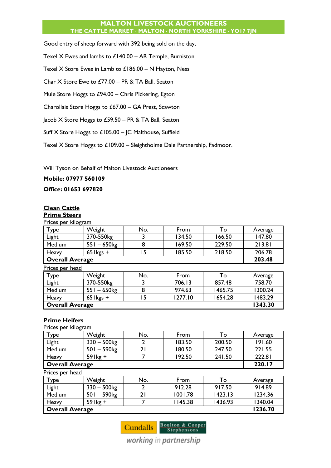Good entry of sheep forward with 392 being sold on the day,

Texel X Ewes and lambs to  $£140.00 - AR$  Temple, Burniston

Texel X Store Ewes in Lamb to £186.00 – N Hayton, Ness

Char X Store Ewe to £77.00 – PR & TA Ball, Seaton

Mule Store Hoggs to £94.00 – Chris Pickering, Egton

Charollais Store Hoggs to £67.00 – GA Prest, Scawton

Jacob X Store Hoggs to £59.50 – PR & TA Ball, Seaton

Suff X Store Hoggs to £105.00 – JC Malthouse, Suffield

Texel X Store Hoggs to £109.00 – Sleightholme Dale Partnership, Fadmoor.

Will Tyson on Behalf of Malton Livestock Auctioneers

**Mobile: 07977 560109**

**Office: 01653 697820**

## **Clean Cattle**

## **Prime Steers**

| Prices per kilogram    |                           |     |         |         |         |
|------------------------|---------------------------|-----|---------|---------|---------|
| Type                   | Weight                    | No. | From    | To      | Average |
| Light                  | 370-550kg                 | 3   | 134.50  | 166.50  | 147.80  |
| Medium                 | $551 - 650$ <sub>kg</sub> | 8   | 169.50  | 229.50  | 213.81  |
| Heavy                  | $65$ l kgs +              | ۱5  | 185.50  | 218.50  | 206.78  |
| <b>Overall Average</b> | 203.48                    |     |         |         |         |
| Prices per head        |                           |     |         |         |         |
| Type                   | Weight                    | No. | From    | То      | Average |
| Light                  | 370-550kg                 | 3   | 706.13  | 857.48  | 758.70  |
| Medium                 | $551 - 650$ kg            | 8   | 974.63  | 1465.75 | 1300.24 |
| Heavy                  | $65$ l kgs +              | 5   | 1277.10 | 1654.28 | 1483.29 |
| <b>Overall Average</b> |                           |     |         |         | 1343.30 |

## **Prime Heifers**

| Prices per kilogram    |                           |                |         |         |         |
|------------------------|---------------------------|----------------|---------|---------|---------|
| Type                   | Weight                    | No.            | From    | To      | Average |
| Light                  | $330 - 500$ <sub>kg</sub> | 2              | 183.50  | 200.50  | 191.60  |
| Medium                 | $501 - 590$ <sub>kg</sub> | 21             | 180.50  | 247.50  | 221.55  |
| Heavy                  | $59$ kg +                 |                | 192.50  | 241.50  | 222.81  |
| <b>Overall Average</b> |                           |                |         |         | 220.17  |
| Prices per head        |                           |                |         |         |         |
| Type                   | Weight                    | No.            | From    | To      | Average |
| Light                  | $330 - 500$ <sub>kg</sub> | $\overline{2}$ | 912.28  | 917.50  | 914.89  |
| Medium                 | $501 - 590$ <sub>kg</sub> | 21             | 1001.78 | 1423.13 | 1234.36 |
| Heavy                  | $59$ kg +                 | 7              | 1145.38 | 1436.93 | 1340.04 |
| <b>Overall Average</b> |                           |                |         |         | 1236.70 |



working in partnership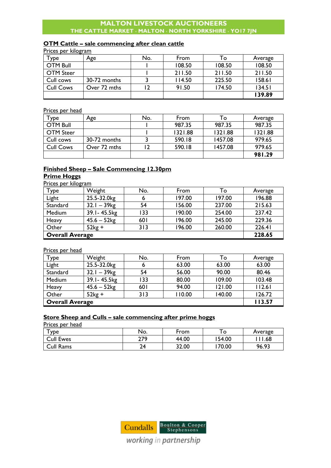#### **OTM Cattle – sale commencing after clean cattle**

| Prices per kilogram |              |     |        |        |         |
|---------------------|--------------|-----|--------|--------|---------|
| $\tau_{\rm YDe}$    | Age          | No. | From   | To     | Average |
| <b>OTM Bull</b>     |              |     | 108.50 | 108.50 | 108.50  |
| <b>OTM Steer</b>    |              |     | 211.50 | 211.50 | 211.50  |
| Cull cows           | 30-72 months |     | 114.50 | 225.50 | 158.61  |
| <b>Cull Cows</b>    | Over 72 mths | 12  | 91.50  | 174.50 | 134.51  |
|                     |              |     |        |        | 139.89  |

## Prices per head

| $\mathsf{v}_{\mathsf{p} \mathsf{e}^-}$ | Age          | No. | From    | To      | Average |
|----------------------------------------|--------------|-----|---------|---------|---------|
| <b>OTM Bull</b>                        |              |     | 987.35  | 987.35  | 987.35  |
| <b>OTM Steer</b>                       |              |     | 1321.88 | 1321.88 | 1321.88 |
| Cull cows                              | 30-72 months |     | 590.18  | 1457.08 | 979.65  |
| <b>Cull Cows</b>                       | Over 72 mths |     | 590.18  | 1457.08 | 979.65  |
|                                        |              |     |         |         | 981.29  |

## **Finished Sheep – Sale Commencing 12.30pm Prime Hoggs**

## Prices per kilogram

| Type                   | Weight         | No. | From   | To     | Average |
|------------------------|----------------|-----|--------|--------|---------|
| Light                  | 25.5-32.0kg    | o   | 197.00 | 197.00 | 196.88  |
| Standard               | $32.1 - 39$ kg | 54  | 156.00 | 237.00 | 215.63  |
| Medium                 | 39.1-45.5kg    | 133 | 190.00 | 254.00 | 237.42  |
| Heavy                  | $45.6 - 52$ kg | 601 | 196.00 | 245.00 | 229.36  |
| Other                  | $52kg +$       | 313 | 196.00 | 260.00 | 226.41  |
| <b>Overall Average</b> |                |     |        | 228.65 |         |

#### Prices per head

| Type                   | Weight                    | No. | From   | To     | Average |
|------------------------|---------------------------|-----|--------|--------|---------|
| Light                  | 25.5-32.0kg               |     | 63.00  | 63.00  | 63.00   |
| Standard               | $32.1 - 39$ <sub>kg</sub> | 54  | 56.00  | 90.00  | 80.46   |
| Medium                 | 39.1-45.5kg               | 133 | 80.00  | 109.00 | 103.48  |
| Heavy                  | $45.6 - 52$ kg            | 601 | 94.00  | 121.00 | 112.61  |
| Other                  | $52kg +$                  | 313 | 110.00 | 140.00 | 126.72  |
| <b>Overall Average</b> |                           |     |        |        | 113.57  |

#### **Store Sheep and Culls – sale commencing after prime hoggs**

Prices per head

| <b>y</b> De      | No.        | From  | $\circ$ | Average |
|------------------|------------|-------|---------|---------|
| <b>Cull Ewes</b> | ን70<br>217 | 44.00 | 54.00   | .68     |
| Cull Rams        | 24         | 32.00 | 70.00   | 96.93   |



working in partnership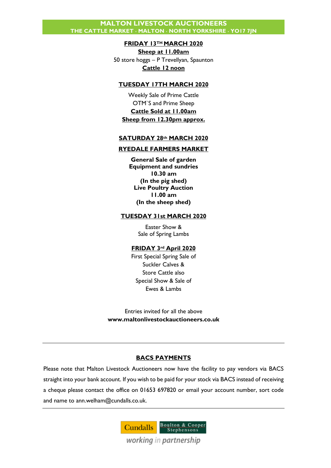#### **FRIDAY 13TH MARCH 2020**

**Sheep at 11.00am** 50 store hoggs – P Trevellyan, Spaunton **Cattle 12 noon**

#### **TUESDAY 17TH MARCH 2020**

Weekly Sale of Prime Cattle OTM`S and Prime Sheep **Cattle Sold at 11.00am Sheep from 12.30pm approx.**

#### **SATURDAY 28th MARCH 2020**

#### **RYEDALE FARMERS MARKET**

**General Sale of garden Equipment and sundries 10.30 am (In the pig shed) Live Poultry Auction 11.00 am (In the sheep shed)**

#### **TUESDAY 31st MARCH 2020**

Easter Show & Sale of Spring Lambs

#### **FRIDAY 3rd April 2020**

First Special Spring Sale of Suckler Calves & Store Cattle also Special Show & Sale of Ewes & Lambs

Entries invited for all the above **www.maltonlivestockauctioneers.co.uk**

#### **BACS PAYMENTS**

Please note that Malton Livestock Auctioneers now have the facility to pay vendors via BACS straight into your bank account. If you wish to be paid for your stock via BACS instead of receiving a cheque please contact the office on 01653 697820 or email your account number, sort code and name to [ann.welham@cundalls.co.uk.](mailto:ann.welham@cundalls.co.uk)

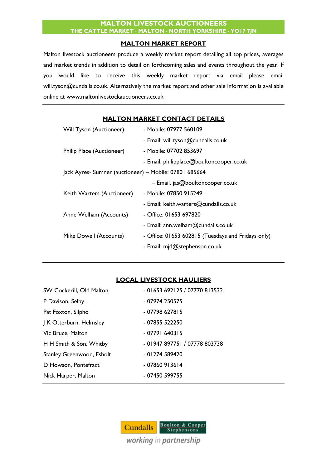#### **MALTON MARKET REPORT**

Malton livestock auctioneers produce a weekly market report detailing all top prices, averages and market trends in addition to detail on forthcoming sales and events throughout the year. If you would like to receive this weekly market report via email please email [will.tyson@cundalls.co.uk.](mailto:will.tyson@cundalls.co.uk) Alternatively the market report and other sale information is available online at [www.maltonlivestockauctioneers.co.uk](http://www.maltonlivestockauctioneers.co.uk/)

| <b>Will Tyson (Auctioneer)</b>                         | - Mobile: 07977 560109                             |
|--------------------------------------------------------|----------------------------------------------------|
|                                                        | - Email: will.tyson@cundalls.co.uk                 |
| Philip Place (Auctioneer)                              | - Mobile: 07702 853697                             |
|                                                        | - Email: philipplace@boultoncooper.co.uk           |
| Jack Ayres- Sumner (auctioneer) - Mobile: 07801 685664 |                                                    |
|                                                        | $-$ Email. jas@boultoncooper.co.uk                 |
| Keith Warters (Auctioneer)                             | - Mobile: 07850 915249                             |
|                                                        | - Email: keith.warters@cundalls.co.uk              |
| Anne Welham (Accounts)                                 | - Office: 01653 697820                             |
|                                                        | - Email: ann.welham@cundalls.co.uk                 |
| Mike Dowell (Accounts)                                 | - Office: 01653 602815 (Tuesdays and Fridays only) |
|                                                        | - Email: mjd@stephenson.co.uk                      |
|                                                        |                                                    |

## **MALTON MARKET CONTACT DETAILS**

## **LOCAL LIVESTOCK HAULIERS**

| SW Cockerill, Old Malton  | - 01653 692125 / 07770 813532 |
|---------------------------|-------------------------------|
| P Davison, Selby          | - 07974 250575                |
| Pat Foxton, Silpho        | - 07798 627815                |
| J K Otterburn, Helmsley   | - 07855 522250                |
| Vic Bruce, Malton         | $-07791640315$                |
| H H Smith & Son, Whitby   | - 01947 897751 / 07778 803738 |
| Stanley Greenwood, Esholt | $-01274589420$                |
| D Howson, Pontefract      | $-07860913614$                |
| Nick Harper, Malton       | - 07450 599755                |

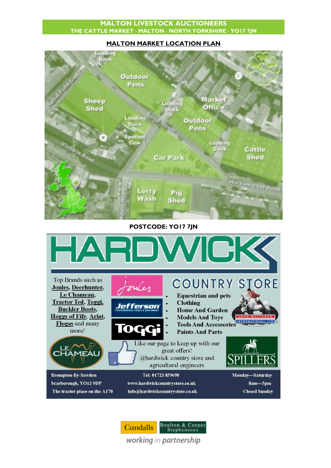#### **MALTON MARKET LOCATION PLAN**



**POSTCODE: YO17 7JN**